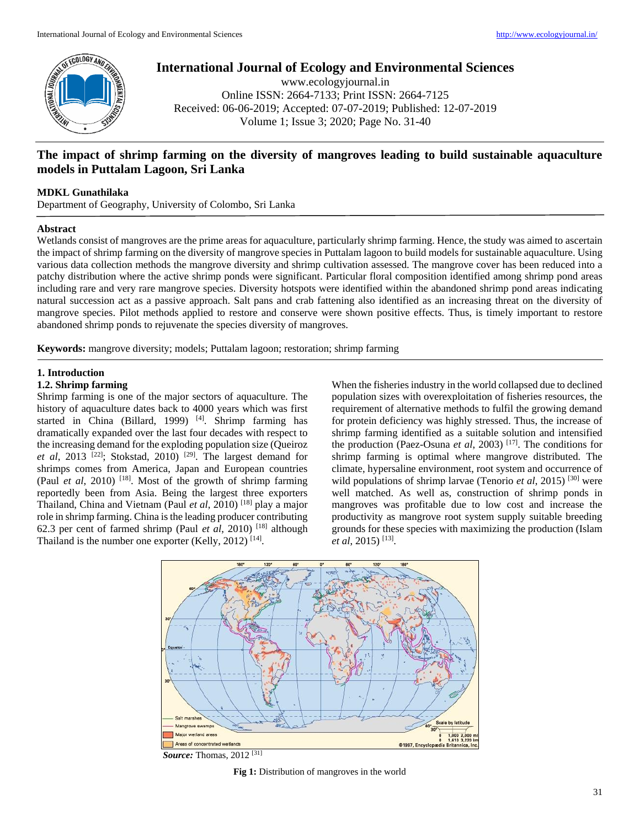

# **International Journal of Ecology and Environmental Sciences**

www.ecologyjournal.in Online ISSN: 2664-7133; Print ISSN: 2664-7125 Received: 06-06-2019; Accepted: 07-07-2019; Published: 12-07-2019 Volume 1; Issue 3; 2020; Page No. 31-40

# **The impact of shrimp farming on the diversity of mangroves leading to build sustainable aquaculture models in Puttalam Lagoon, Sri Lanka**

## **MDKL Gunathilaka**

Department of Geography, University of Colombo, Sri Lanka

## **Abstract**

Wetlands consist of mangroves are the prime areas for aquaculture, particularly shrimp farming. Hence, the study was aimed to ascertain the impact of shrimp farming on the diversity of mangrove species in Puttalam lagoon to build models for sustainable aquaculture. Using various data collection methods the mangrove diversity and shrimp cultivation assessed. The mangrove cover has been reduced into a patchy distribution where the active shrimp ponds were significant. Particular floral composition identified among shrimp pond areas including rare and very rare mangrove species. Diversity hotspots were identified within the abandoned shrimp pond areas indicating natural succession act as a passive approach. Salt pans and crab fattening also identified as an increasing threat on the diversity of mangrove species. Pilot methods applied to restore and conserve were shown positive effects. Thus, is timely important to restore abandoned shrimp ponds to rejuvenate the species diversity of mangroves.

**Keywords:** mangrove diversity; models; Puttalam lagoon; restoration; shrimp farming

# **1. Introduction**

# **1.2. Shrimp farming**

Shrimp farming is one of the major sectors of aquaculture. The history of aquaculture dates back to 4000 years which was first started in China (Billard, 1999)<sup>[4]</sup>. Shrimp farming has dramatically expanded over the last four decades with respect to the increasing demand for the exploding population size (Queiroz *et al*, 2013<sup>[22]</sup>; Stokstad, 2010)<sup>[29]</sup>. The largest demand for shrimps comes from America, Japan and European countries (Paul *et al*, 2010)<sup>[18]</sup>. Most of the growth of shrimp farming reportedly been from Asia. Being the largest three exporters Thailand, China and Vietnam (Paul *et al*, 2010) [18] play a major role in shrimp farming. China is the leading producer contributing 62.3 per cent of farmed shrimp (Paul *et al*, 2010) [18] although Thailand is the number one exporter (Kelly, 2012)<sup>[14]</sup>.

When the fisheries industry in the world collapsed due to declined population sizes with overexploitation of fisheries resources, the requirement of alternative methods to fulfil the growing demand for protein deficiency was highly stressed. Thus, the increase of shrimp farming identified as a suitable solution and intensified the production (Paez-Osuna *et al*, 2003)<sup>[17]</sup>. The conditions for shrimp farming is optimal where mangrove distributed. The climate, hypersaline environment, root system and occurrence of wild populations of shrimp larvae (Tenorio *et al*, 2015)<sup>[30]</sup> were well matched. As well as, construction of shrimp ponds in mangroves was profitable due to low cost and increase the productivity as mangrove root system supply suitable breeding grounds for these species with maximizing the production (Islam *et al*, 2015) [13] .



*Source:* Thomas, 2012 [31]

**Fig 1:** Distribution of mangroves in the world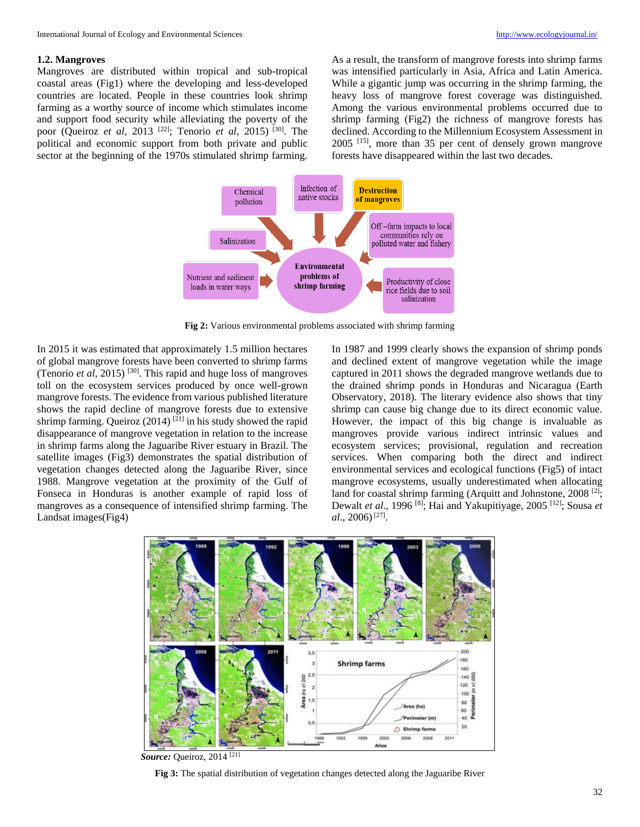### **1.2. Mangroves**

Mangroves are distributed within tropical and sub-tropical coastal areas (Fig1) where the developing and less-developed countries are located. People in these countries look shrimp farming as a worthy source of income which stimulates income and support food security while alleviating the poverty of the poor (Queiroz *et al*, 2013 [22] ; Tenorio *et al*, 2015) [30] . The political and economic support from both private and public sector at the beginning of the 1970s stimulated shrimp farming.

As a result, the transform of mangrove forests into shrimp farms was intensified particularly in Asia, Africa and Latin America. While a gigantic jump was occurring in the shrimp farming, the heavy loss of mangrove forest coverage was distinguished. Among the various environmental problems occurred due to shrimp farming (Fig2) the richness of mangrove forests has declined. According to the Millennium Ecosystem Assessment in 2005 [15] , more than 35 per cent of densely grown mangrove forests have disappeared within the last two decades.



**Fig 2:** Various environmental problems associated with shrimp farming

In 2015 it was estimated that approximately 1.5 million hectares of global mangrove forests have been converted to shrimp farms (Tenorio *et al*, 2015) [30] . This rapid and huge loss of mangroves toll on the ecosystem services produced by once well-grown mangrove forests. The evidence from various published literature shows the rapid decline of mangrove forests due to extensive shrimp farming. Queiroz  $(2014)$ <sup>[21]</sup> in his study showed the rapid disappearance of mangrove vegetation in relation to the increase in shrimp farms along the Jaguaribe River estuary in Brazil. The satellite images (Fig3) demonstrates the spatial distribution of vegetation changes detected along the Jaguaribe River, since 1988. Mangrove vegetation at the proximity of the Gulf of Fonseca in Honduras is another example of rapid loss of mangroves as a consequence of intensified shrimp farming. The Landsat images(Fig4)

In 1987 and 1999 clearly shows the expansion of shrimp ponds and declined extent of mangrove vegetation while the image captured in 2011 shows the degraded mangrove wetlands due to the drained shrimp ponds in Honduras and Nicaragua (Earth Observatory, 2018). The literary evidence also shows that tiny shrimp can cause big change due to its direct economic value. However, the impact of this big change is invaluable as mangroves provide various indirect intrinsic values and ecosystem services; provisional, regulation and recreation services. When comparing both the direct and indirect environmental services and ecological functions (Fig5) of intact mangrove ecosystems, usually underestimated when allocating land for coastal shrimp farming (Arquitt and Johnstone, 2008<sup>[2]</sup>; Dewalt *et al.*, 1996<sup>[8]</sup>; Hai and Yakupitiyage, 2005<sup>[12]</sup>; Sousa *et al.*, 2006)<sup>[27]</sup>.



Source: Queiroz, 2014<sup>[21]</sup>

**Fig 3:** The spatial distribution of vegetation changes detected along the Jaguaribe River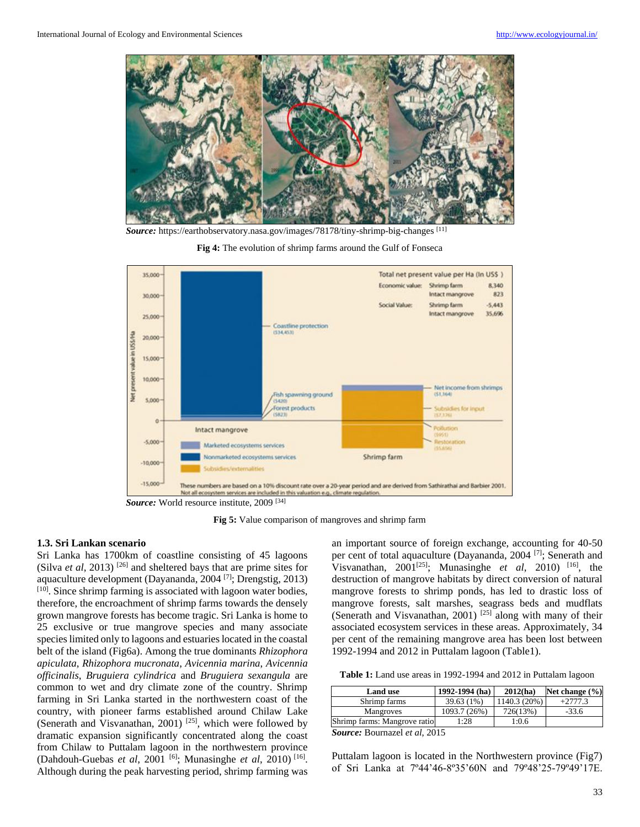

*Source:* https://earthobservatory.nasa.gov/images/78178/tiny-shrimp-big-changes [11]





*Source:* World resource institute, 2009 [34]

**Fig 5:** Value comparison of mangroves and shrimp farm

### **1.3. Sri Lankan scenario**

Sri Lanka has 1700km of coastline consisting of 45 lagoons (Silva *et al*, 2013) [26] and sheltered bays that are prime sites for aquaculture development (Dayananda, 2004 [7] ; Drengstig, 2013)  $[10]$ . Since shrimp farming is associated with lagoon water bodies, therefore, the encroachment of shrimp farms towards the densely grown mangrove forests has become tragic. Sri Lanka is home to 25 exclusive or true mangrove species and many associate species limited only to lagoons and estuaries located in the coastal belt of the island (Fig6a). Among the true dominants *Rhizophora apiculata*, *Rhizophora mucronata*, *Avicennia marina*, *Avicennia officinalis*, *Bruguiera cylindrica* and *Bruguiera sexangula* are common to wet and dry climate zone of the country. Shrimp farming in Sri Lanka started in the northwestern coast of the country, with pioneer farms established around Chilaw Lake (Senerath and Visvanathan, 2001)<sup>[25]</sup>, which were followed by dramatic expansion significantly concentrated along the coast from Chilaw to Puttalam lagoon in the northwestern province (Dahdouh-Guebas *et al*, 2001<sup>[6]</sup>; Munasinghe *et al*, 2010)<sup>[16]</sup>. Although during the peak harvesting period, shrimp farming was

an important source of foreign exchange, accounting for 40-50 per cent of total aquaculture (Dayananda, 2004<sup>[7]</sup>; Senerath and Visvanathan,  $2001^{[25]}$ ; Munasinghe *et al*,  $2010$ <sup>[16]</sup>, the destruction of mangrove habitats by direct conversion of natural mangrove forests to shrimp ponds, has led to drastic loss of mangrove forests, salt marshes, seagrass beds and mudflats (Senerath and Visvanathan, 2001)<sup>[25]</sup> along with many of their associated ecosystem services in these areas. Approximately, 34 per cent of the remaining mangrove area has been lost between 1992-1994 and 2012 in Puttalam lagoon (Table1).

**Table 1:** Land use areas in 1992-1994 and 2012 in Puttalam lagoon

| <b>Land use</b>                 | 1992-1994 (ha) | 2012(ha)     | Net change $(\% )$ |
|---------------------------------|----------------|--------------|--------------------|
| Shrimp farms                    | 39.63 (1%)     | 1140.3 (20%) | $+2777.3$          |
| Mangroves                       | 1093.7 (26%)   | 726(13%)     | $-33.6$            |
| Shrimp farms: Mangrove ratio    | 1:28           | 1:0.6        |                    |
| $1 \cdot 10015$<br>$\mathbf{r}$ |                |              |                    |

*Source:* Bournazel *et al*, 2015

Puttalam lagoon is located in the Northwestern province (Fig7) of Sri Lanka at 7º44'46-8º35'60N and 79º48'25-79º49'17E.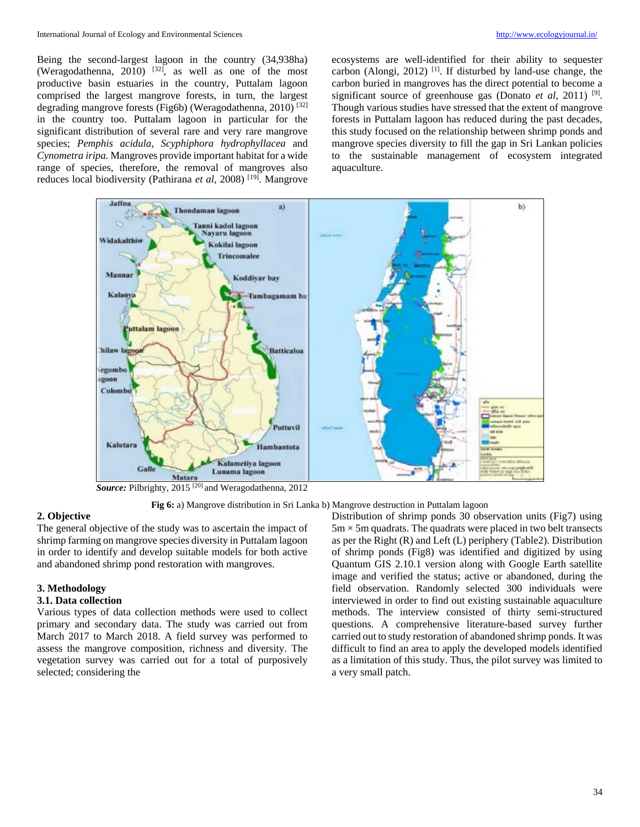Being the second-largest lagoon in the country (34,938ha) (Weragodathenna, 2010)  $[32]$ , as well as one of the most productive basin estuaries in the country, Puttalam lagoon comprised the largest mangrove forests, in turn, the largest degrading mangrove forests (Fig6b) (Weragodathenna, 2010)<sup>[32]</sup> in the country too. Puttalam lagoon in particular for the significant distribution of several rare and very rare mangrove species; *Pemphis acidula*, *Scyphiphora hydrophyllacea* and *Cynometra iripa.* Mangroves provide important habitat for a wide range of species, therefore, the removal of mangroves also reduces local biodiversity (Pathirana *et al*, 2008) [19] . Mangrove

ecosystems are well-identified for their ability to sequester carbon (Alongi, 2012)<sup>[1]</sup>. If disturbed by land-use change, the carbon buried in mangroves has the direct potential to become a significant source of greenhouse gas (Donato *et al*, 2011)<sup>[9]</sup>. Though various studies have stressed that the extent of mangrove forests in Puttalam lagoon has reduced during the past decades, this study focused on the relationship between shrimp ponds and mangrove species diversity to fill the gap in Sri Lankan policies to the sustainable management of ecosystem integrated aquaculture.



*Source:* Pilbrighty, 2015 [20] and Weragodathenna, 2012

**Fig 6:** a) Mangrove distribution in Sri Lanka b) Mangrove destruction in Puttalam lagoon

# **2. Objective**

The general objective of the study was to ascertain the impact of shrimp farming on mangrove species diversity in Puttalam lagoon in order to identify and develop suitable models for both active and abandoned shrimp pond restoration with mangroves.

#### **3. Methodology**

#### **3.1. Data collection**

Various types of data collection methods were used to collect primary and secondary data. The study was carried out from March 2017 to March 2018. A field survey was performed to assess the mangrove composition, richness and diversity. The vegetation survey was carried out for a total of purposively selected; considering the

Distribution of shrimp ponds 30 observation units (Fig7) using  $5m \times 5m$  quadrats. The quadrats were placed in two belt transects as per the Right (R) and Left (L) periphery (Table2). Distribution of shrimp ponds (Fig8) was identified and digitized by using Quantum GIS 2.10.1 version along with Google Earth satellite image and verified the status; active or abandoned, during the field observation. Randomly selected 300 individuals were interviewed in order to find out existing sustainable aquaculture methods. The interview consisted of thirty semi-structured questions. A comprehensive literature-based survey further carried out to study restoration of abandoned shrimp ponds. It was difficult to find an area to apply the developed models identified as a limitation of this study. Thus, the pilot survey was limited to a very small patch.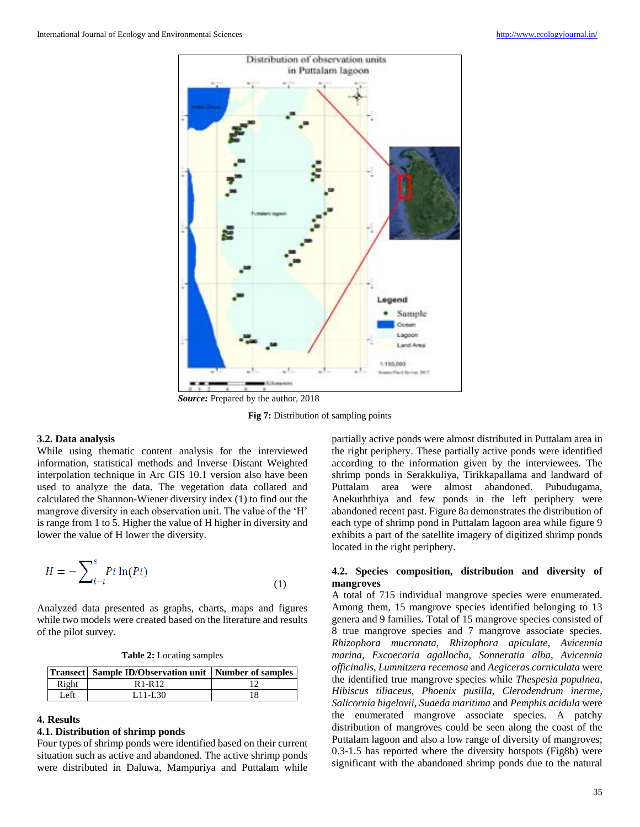

*Source:* Prepared by the author, 2018

**Fig 7:** Distribution of sampling points

### **3.2. Data analysis**

While using thematic content analysis for the interviewed information, statistical methods and Inverse Distant Weighted interpolation technique in Arc GIS 10.1 version also have been used to analyze the data. The vegetation data collated and calculated the Shannon-Wiener diversity index (1) to find out the mangrove diversity in each observation unit. The value of the 'H' is range from 1 to 5. Higher the value of H higher in diversity and lower the value of H lower the diversity.

$$
H = -\sum_{i-l}^{s} Pi \ln(Pi)
$$
 (1)

Analyzed data presented as graphs, charts, maps and figures while two models were created based on the literature and results of the pilot survey.

**Table 2:** Locating samples

|       | <b>Transect</b> Sample ID/Observation unit Number of samples |  |  |
|-------|--------------------------------------------------------------|--|--|
| Right | R <sub>1-R12</sub>                                           |  |  |
| I eft | $1.11 - 1.30$                                                |  |  |

### **4. Results**

### **4.1. Distribution of shrimp ponds**

Four types of shrimp ponds were identified based on their current situation such as active and abandoned. The active shrimp ponds were distributed in Daluwa, Mampuriya and Puttalam while

partially active ponds were almost distributed in Puttalam area in the right periphery. These partially active ponds were identified according to the information given by the interviewees. The shrimp ponds in Serakkuliya, Tirikkapallama and landward of Puttalam area were almost abandoned. Pubudugama, Anekuththiya and few ponds in the left periphery were abandoned recent past. Figure 8a demonstrates the distribution of each type of shrimp pond in Puttalam lagoon area while figure 9 exhibits a part of the satellite imagery of digitized shrimp ponds located in the right periphery.

## **4.2. Species composition, distribution and diversity of mangroves**

A total of 715 individual mangrove species were enumerated. Among them, 15 mangrove species identified belonging to 13 genera and 9 families. Total of 15 mangrove species consisted of 8 true mangrove species and 7 mangrove associate species. *Rhizophora mucronata*, *Rhizophora apiculate*, *Avicennia marina*, *Excoecaria agallocha*, *Sonneratia alba*, *Avicennia officinalis*, *Lumnitzera recemosa* and *Aegiceras corniculata* were the identified true mangrove species while *Thespesia populnea*, *Hibiscus tiliaceus*, *Phoenix pusilla*, *Clerodendrum inerme*, *Salicornia bigelovii*, *Suaeda maritima* and *Pemphis acidula* were the enumerated mangrove associate species. A patchy distribution of mangroves could be seen along the coast of the Puttalam lagoon and also a low range of diversity of mangroves; 0.3-1.5 has reported where the diversity hotspots (Fig8b) were significant with the abandoned shrimp ponds due to the natural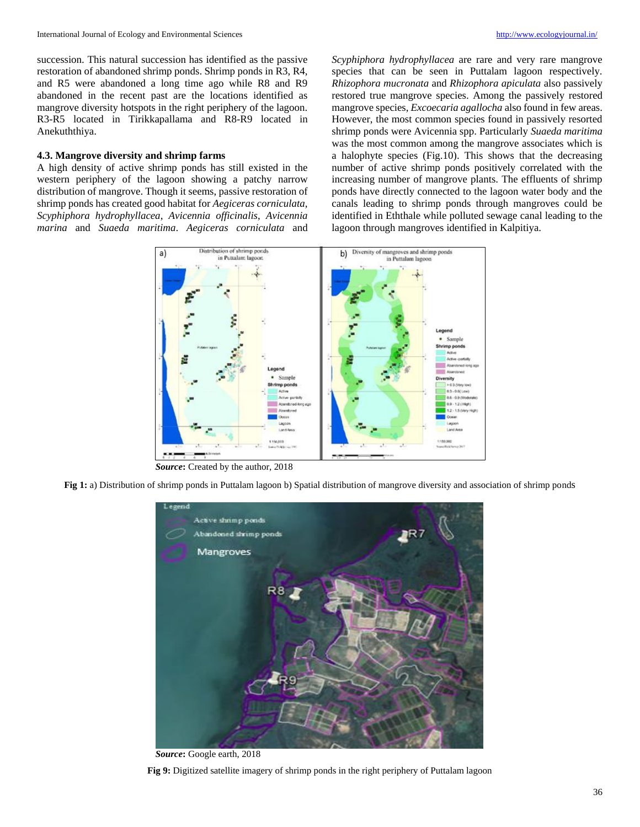succession. This natural succession has identified as the passive restoration of abandoned shrimp ponds. Shrimp ponds in R3, R4, and R5 were abandoned a long time ago while R8 and R9 abandoned in the recent past are the locations identified as mangrove diversity hotspots in the right periphery of the lagoon. R3-R5 located in Tirikkapallama and R8-R9 located in Anekuththiya.

### **4.3. Mangrove diversity and shrimp farms**

A high density of active shrimp ponds has still existed in the western periphery of the lagoon showing a patchy narrow distribution of mangrove. Though it seems, passive restoration of shrimp ponds has created good habitat for *Aegiceras corniculata*, *Scyphiphora hydrophyllacea*, *Avicennia officinalis*, *Avicennia marina* and *Suaeda maritima*. *Aegiceras corniculata* and

*Scyphiphora hydrophyllacea* are rare and very rare mangrove species that can be seen in Puttalam lagoon respectively. *Rhizophora mucronata* and *Rhizophora apiculata* also passively restored true mangrove species. Among the passively restored mangrove species, *Excoecaria agallocha* also found in few areas. However, the most common species found in passively resorted shrimp ponds were Avicennia spp. Particularly *Suaeda maritima*  was the most common among the mangrove associates which is a halophyte species (Fig.10). This shows that the decreasing number of active shrimp ponds positively correlated with the increasing number of mangrove plants. The effluents of shrimp ponds have directly connected to the lagoon water body and the canals leading to shrimp ponds through mangroves could be identified in Eththale while polluted sewage canal leading to the lagoon through mangroves identified in Kalpitiya.



*Source***:** Created by the author, 2018

**Fig 1:** a) Distribution of shrimp ponds in Puttalam lagoon b) Spatial distribution of mangrove diversity and association of shrimp ponds



*Source***:** Google earth, 2018

**Fig 9:** Digitized satellite imagery of shrimp ponds in the right periphery of Puttalam lagoon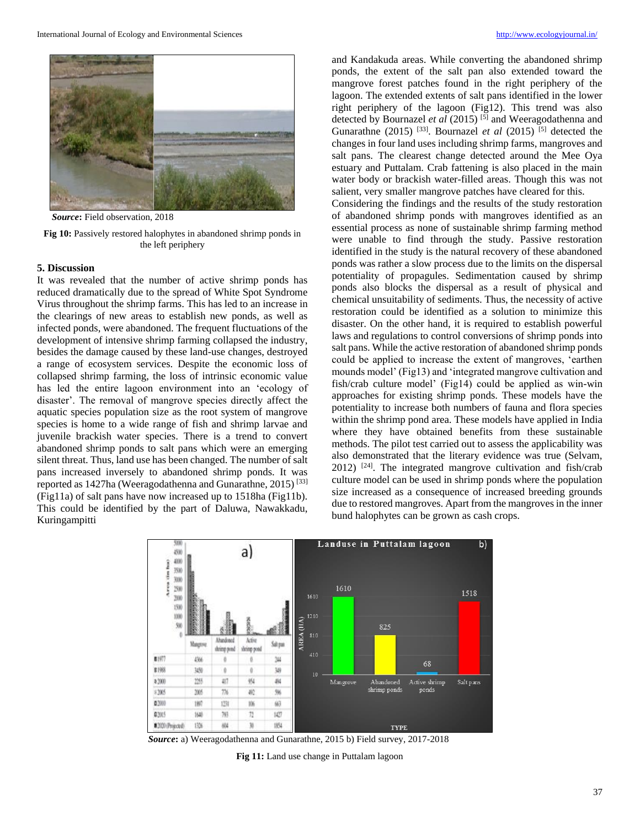

*Source***:** Field observation, 2018

**Fig 10:** Passively restored halophytes in abandoned shrimp ponds in the left periphery

#### **5. Discussion**

It was revealed that the number of active shrimp ponds has reduced dramatically due to the spread of White Spot Syndrome Virus throughout the shrimp farms. This has led to an increase in the clearings of new areas to establish new ponds, as well as infected ponds, were abandoned. The frequent fluctuations of the development of intensive shrimp farming collapsed the industry, besides the damage caused by these land-use changes, destroyed a range of ecosystem services. Despite the economic loss of collapsed shrimp farming, the loss of intrinsic economic value has led the entire lagoon environment into an 'ecology of disaster'. The removal of mangrove species directly affect the aquatic species population size as the root system of mangrove species is home to a wide range of fish and shrimp larvae and juvenile brackish water species. There is a trend to convert abandoned shrimp ponds to salt pans which were an emerging silent threat. Thus, land use has been changed. The number of salt pans increased inversely to abandoned shrimp ponds. It was reported as 1427ha (Weeragodathenna and Gunarathne, 2015) [33] (Fig11a) of salt pans have now increased up to 1518ha (Fig11b). This could be identified by the part of Daluwa, Nawakkadu, Kuringampitti

and Kandakuda areas. While converting the abandoned shrimp ponds, the extent of the salt pan also extended toward the mangrove forest patches found in the right periphery of the lagoon. The extended extents of salt pans identified in the lower right periphery of the lagoon (Fig12). This trend was also detected by Bournazel *et al* (2015) [5] and Weeragodathenna and Gunarathne  $(2015)$ <sup>[33]</sup>. Bournazel *et al*  $(2015)$ <sup>[5]</sup> detected the changes in four land uses including shrimp farms, mangroves and salt pans. The clearest change detected around the Mee Oya estuary and Puttalam. Crab fattening is also placed in the main water body or brackish water-filled areas. Though this was not salient, very smaller mangrove patches have cleared for this.

Considering the findings and the results of the study restoration of abandoned shrimp ponds with mangroves identified as an essential process as none of sustainable shrimp farming method were unable to find through the study. Passive restoration identified in the study is the natural recovery of these abandoned ponds was rather a slow process due to the limits on the dispersal potentiality of propagules. Sedimentation caused by shrimp ponds also blocks the dispersal as a result of physical and chemical unsuitability of sediments. Thus, the necessity of active restoration could be identified as a solution to minimize this disaster. On the other hand, it is required to establish powerful laws and regulations to control conversions of shrimp ponds into salt pans. While the active restoration of abandoned shrimp ponds could be applied to increase the extent of mangroves, 'earthen mounds model' (Fig13) and 'integrated mangrove cultivation and fish/crab culture model' (Fig14) could be applied as win-win approaches for existing shrimp ponds. These models have the potentiality to increase both numbers of fauna and flora species within the shrimp pond area. These models have applied in India where they have obtained benefits from these sustainable methods. The pilot test carried out to assess the applicability was also demonstrated that the literary evidence was true (Selvam,  $2012$ ) <sup>[24]</sup>. The integrated mangrove cultivation and fish/crab culture model can be used in shrimp ponds where the population size increased as a consequence of increased breeding grounds due to restored mangroves. Apart from the mangroves in the inner bund halophytes can be grown as cash crops.



*Source***:** a) Weeragodathenna and Gunarathne, 2015 b) Field survey, 2017-2018

**Fig 11:** Land use change in Puttalam lagoon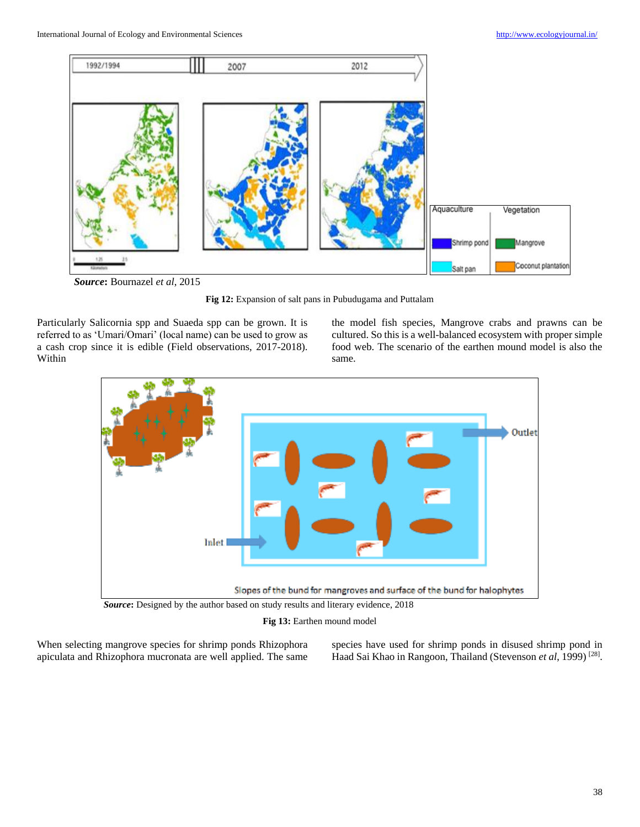

*Source***:** Bournazel *et al*, 2015

**Fig 12:** Expansion of salt pans in Pubudugama and Puttalam

Particularly Salicornia spp and Suaeda spp can be grown. It is referred to as 'Umari/Omari' (local name) can be used to grow as a cash crop since it is edible (Field observations, 2017-2018). Within

the model fish species, Mangrove crabs and prawns can be cultured. So this is a well-balanced ecosystem with proper simple food web. The scenario of the earthen mound model is also the same.



**Fig 13:** Earthen mound model

When selecting mangrove species for shrimp ponds Rhizophora apiculata and Rhizophora mucronata are well applied. The same species have used for shrimp ponds in disused shrimp pond in Haad Sai Khao in Rangoon, Thailand (Stevenson et al, 1999)<sup>[28]</sup>.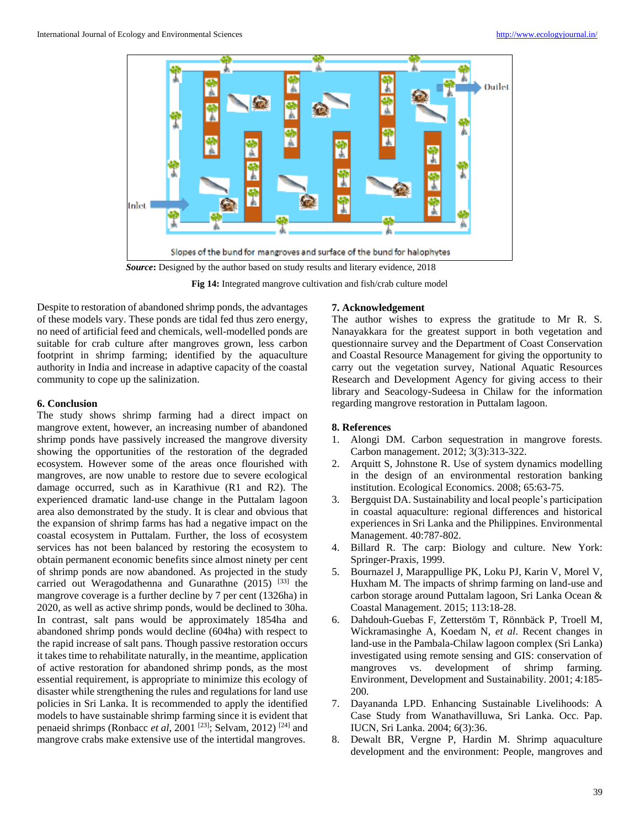

**Fig 14:** Integrated mangrove cultivation and fish/crab culture model

Despite to restoration of abandoned shrimp ponds, the advantages of these models vary. These ponds are tidal fed thus zero energy, no need of artificial feed and chemicals, well-modelled ponds are suitable for crab culture after mangroves grown, less carbon footprint in shrimp farming; identified by the aquaculture authority in India and increase in adaptive capacity of the coastal community to cope up the salinization.

## **6. Conclusion**

The study shows shrimp farming had a direct impact on mangrove extent, however, an increasing number of abandoned shrimp ponds have passively increased the mangrove diversity showing the opportunities of the restoration of the degraded ecosystem. However some of the areas once flourished with mangroves, are now unable to restore due to severe ecological damage occurred, such as in Karathivue (R1 and R2). The experienced dramatic land-use change in the Puttalam lagoon area also demonstrated by the study. It is clear and obvious that the expansion of shrimp farms has had a negative impact on the coastal ecosystem in Puttalam. Further, the loss of ecosystem services has not been balanced by restoring the ecosystem to obtain permanent economic benefits since almost ninety per cent of shrimp ponds are now abandoned. As projected in the study carried out Weragodathenna and Gunarathne  $(2015)$ <sup>[33]</sup> the mangrove coverage is a further decline by 7 per cent (1326ha) in 2020, as well as active shrimp ponds, would be declined to 30ha. In contrast, salt pans would be approximately 1854ha and abandoned shrimp ponds would decline (604ha) with respect to the rapid increase of salt pans. Though passive restoration occurs it takes time to rehabilitate naturally, in the meantime, application of active restoration for abandoned shrimp ponds, as the most essential requirement, is appropriate to minimize this ecology of disaster while strengthening the rules and regulations for land use policies in Sri Lanka. It is recommended to apply the identified models to have sustainable shrimp farming since it is evident that penaeid shrimps (Ronbacc *et al*, 2001<sup>[23]</sup>; Selvam, 2012)<sup>[24]</sup> and mangrove crabs make extensive use of the intertidal mangroves.

### **7. Acknowledgement**

The author wishes to express the gratitude to Mr R. S. Nanayakkara for the greatest support in both vegetation and questionnaire survey and the Department of Coast Conservation and Coastal Resource Management for giving the opportunity to carry out the vegetation survey, National Aquatic Resources Research and Development Agency for giving access to their library and Seacology-Sudeesa in Chilaw for the information regarding mangrove restoration in Puttalam lagoon.

## **8. References**

- 1. Alongi DM. Carbon sequestration in mangrove forests. Carbon management. 2012; 3(3):313-322.
- 2. Arquitt S, Johnstone R. Use of system dynamics modelling in the design of an environmental restoration banking institution. Ecological Economics. 2008; 65:63-75.
- 3. Bergquist DA. Sustainability and local people's participation in coastal aquaculture: regional differences and historical experiences in Sri Lanka and the Philippines. Environmental Management. 40:787-802.
- 4. Billard R. The carp: Biology and culture. New York: Springer-Praxis, 1999.
- 5. Bournazel J, Marappullige PK, Loku PJ, Karin V, Morel V, Huxham M. The impacts of shrimp farming on land-use and carbon storage around Puttalam lagoon, Sri Lanka Ocean & Coastal Management. 2015; 113:18-28.
- 6. Dahdouh-Guebas F, Zetterstöm T, Rönnbäck P, Troell M, Wickramasinghe A, Koedam N, *et al*. Recent changes in land-use in the Pambala-Chilaw lagoon complex (Sri Lanka) investigated using remote sensing and GIS: conservation of mangroves vs. development of shrimp farming. Environment, Development and Sustainability. 2001; 4:185- 200.
- 7. Dayananda LPD. Enhancing Sustainable Livelihoods: A Case Study from Wanathavilluwa, Sri Lanka. Occ. Pap. IUCN, Sri Lanka. 2004; 6(3):36.
- 8. Dewalt BR, Vergne P, Hardin M. Shrimp aquaculture development and the environment: People, mangroves and